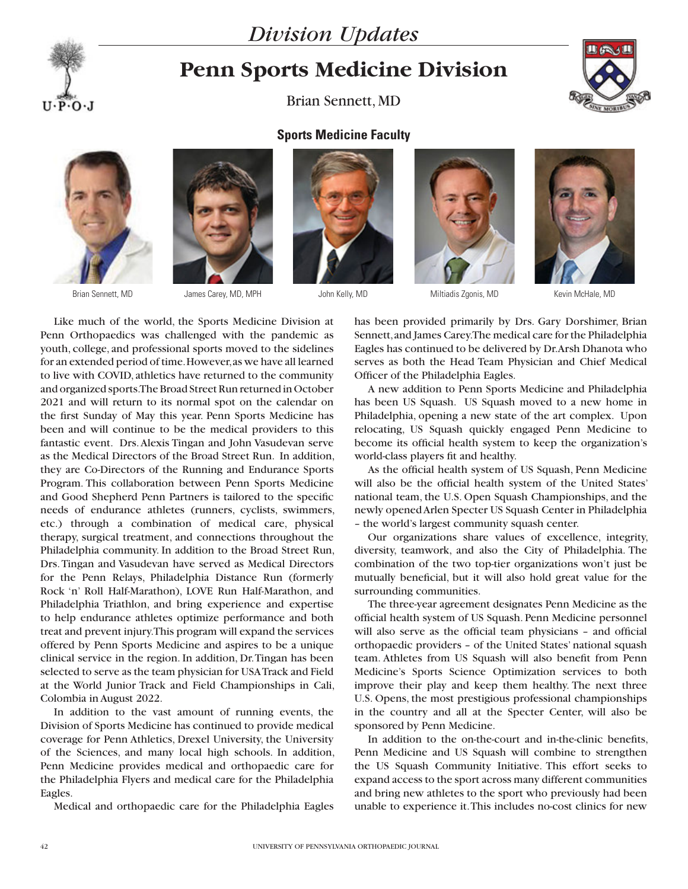



## **Penn Sports Medicine Division**

Brian Sennett, MD







## **Sports Medicine Faculty**





Brian Sennett, MD James Carey, MD, MPH John Kelly, MD Miltiadis Zgonis, MD Kevin McHale, MD



Like much of the world, the Sports Medicine Division at Penn Orthopaedics was challenged with the pandemic as youth, college, and professional sports moved to the sidelines for an extended period of time. However, as we have all learned to live with COVID, athletics have returned to the community and organized sports. The Broad Street Run returned in October 2021 and will return to its normal spot on the calendar on the first Sunday of May this year. Penn Sports Medicine has been and will continue to be the medical providers to this fantastic event. Drs. Alexis Tingan and John Vasudevan serve as the Medical Directors of the Broad Street Run. In addition, they are Co-Directors of the Running and Endurance Sports Program. This collaboration between Penn Sports Medicine and Good Shepherd Penn Partners is tailored to the specific needs of endurance athletes (runners, cyclists, swimmers, etc.) through a combination of medical care, physical therapy, surgical treatment, and connections throughout the Philadelphia community. In addition to the Broad Street Run, Drs. Tingan and Vasudevan have served as Medical Directors for the Penn Relays, Philadelphia Distance Run (formerly Rock 'n' Roll Half-Marathon), LOVE Run Half-Marathon, and Philadelphia Triathlon, and bring experience and expertise to help endurance athletes optimize performance and both treat and prevent injury. This program will expand the services offered by Penn Sports Medicine and aspires to be a unique clinical service in the region. In addition, Dr. Tingan has been selected to serve as the team physician for USA Track and Field at the World Junior Track and Field Championships in Cali, Colombia in August 2022.

In addition to the vast amount of running events, the Division of Sports Medicine has continued to provide medical coverage for Penn Athletics, Drexel University, the University of the Sciences, and many local high schools. In addition, Penn Medicine provides medical and orthopaedic care for the Philadelphia Flyers and medical care for the Philadelphia Eagles.

Medical and orthopaedic care for the Philadelphia Eagles

has been provided primarily by Drs. Gary Dorshimer, Brian Sennett, and James Carey. The medical care for the Philadelphia Eagles has continued to be delivered by Dr. Arsh Dhanota who serves as both the Head Team Physician and Chief Medical Officer of the Philadelphia Eagles.

A new addition to Penn Sports Medicine and Philadelphia has been US Squash. US Squash moved to a new home in Philadelphia, opening a new state of the art complex. Upon relocating, US Squash quickly engaged Penn Medicine to become its official health system to keep the organization's world-class players fit and healthy.

As the official health system of US Squash, Penn Medicine will also be the official health system of the United States' national team, the U.S. Open Squash Championships, and the newly opened Arlen Specter US Squash Center in Philadelphia – the world's largest community squash center.

Our organizations share values of excellence, integrity, diversity, teamwork, and also the City of Philadelphia. The combination of the two top-tier organizations won't just be mutually beneficial, but it will also hold great value for the surrounding communities.

The three-year agreement designates Penn Medicine as the official health system of US Squash. Penn Medicine personnel will also serve as the official team physicians – and official orthopaedic providers – of the United States' national squash team. Athletes from US Squash will also benefit from Penn Medicine's Sports Science Optimization services to both improve their play and keep them healthy. The next three U.S. Opens, the most prestigious professional championships in the country and all at the Specter Center, will also be sponsored by Penn Medicine.

In addition to the on-the-court and in-the-clinic benefits, Penn Medicine and US Squash will combine to strengthen the US Squash Community Initiative. This effort seeks to expand access to the sport across many different communities and bring new athletes to the sport who previously had been unable to experience it. This includes no-cost clinics for new